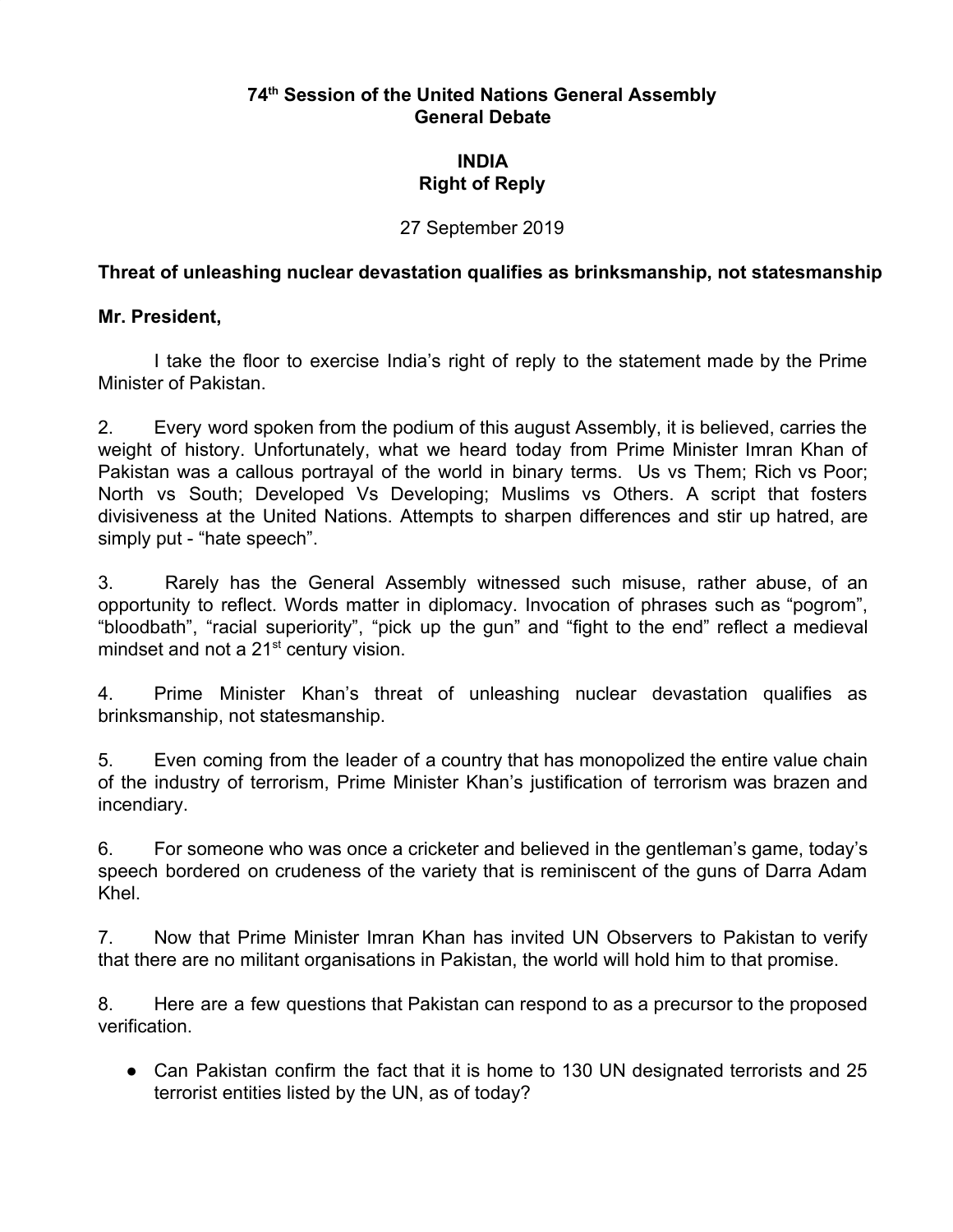### **74th Session of the United Nations General Assembly General Debate**

# **INDIA Right of Reply**

#### 27 September 2019

### **Threat of unleashing nuclear devastation qualifies as brinksmanship, not statesmanship**

#### **Mr. President,**

I take the floor to exercise India's right of reply to the statement made by the Prime Minister of Pakistan.

2. Every word spoken from the podium of this august Assembly, it is believed, carries the weight of history. Unfortunately, what we heard today from Prime Minister Imran Khan of Pakistan was a callous portrayal of the world in binary terms. Us vs Them; Rich vs Poor; North vs South; Developed Vs Developing; Muslims vs Others. A script that fosters divisiveness at the United Nations. Attempts to sharpen differences and stir up hatred, are simply put - "hate speech".

3. Rarely has the General Assembly witnessed such misuse, rather abuse, of an opportunity to reflect. Words matter in diplomacy. Invocation of phrases such as "pogrom", "bloodbath", "racial superiority", "pick up the gun" and "fight to the end" reflect a medieval mindset and not a 21<sup>st</sup> century vision.

4. Prime Minister Khan's threat of unleashing nuclear devastation qualifies as brinksmanship, not statesmanship.

5. Even coming from the leader of a country that has monopolized the entire value chain of the industry of terrorism, Prime Minister Khan's justification of terrorism was brazen and incendiary.

6. For someone who was once a cricketer and believed in the gentleman's game, today's speech bordered on crudeness of the variety that is reminiscent of the guns of Darra Adam Khel.

7. Now that Prime Minister Imran Khan has invited UN Observers to Pakistan to verify that there are no militant organisations in Pakistan, the world will hold him to that promise.

8. Here are a few questions that Pakistan can respond to as a precursor to the proposed verification.

• Can Pakistan confirm the fact that it is home to 130 UN designated terrorists and 25 terrorist entities listed by the UN, as of today?